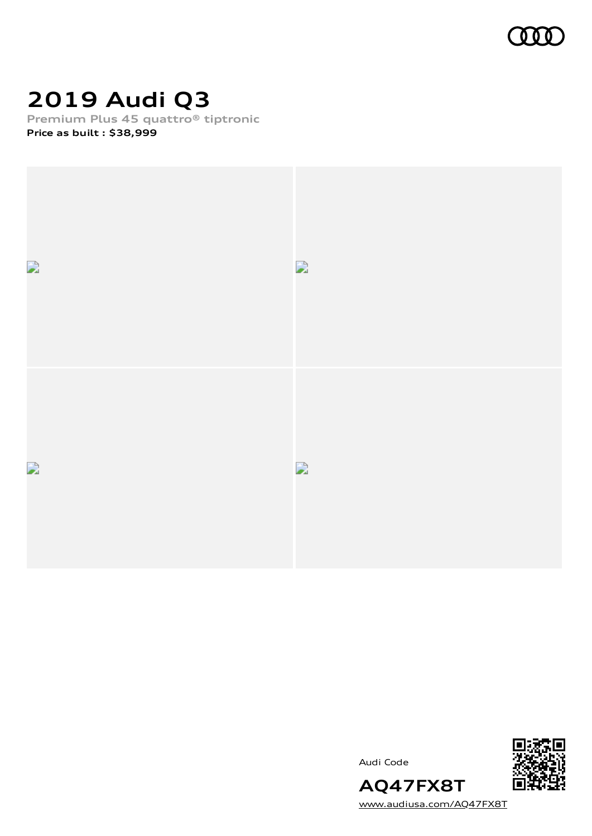

# **2019 Audi Q3**

**Premium Plus 45 quattro® tiptronic**

**Price as built [:](#page-8-0) \$38,999**



Audi Code



[www.audiusa.com/AQ47FX8T](https://www.audiusa.com/AQ47FX8T)

**AQ47FX8T**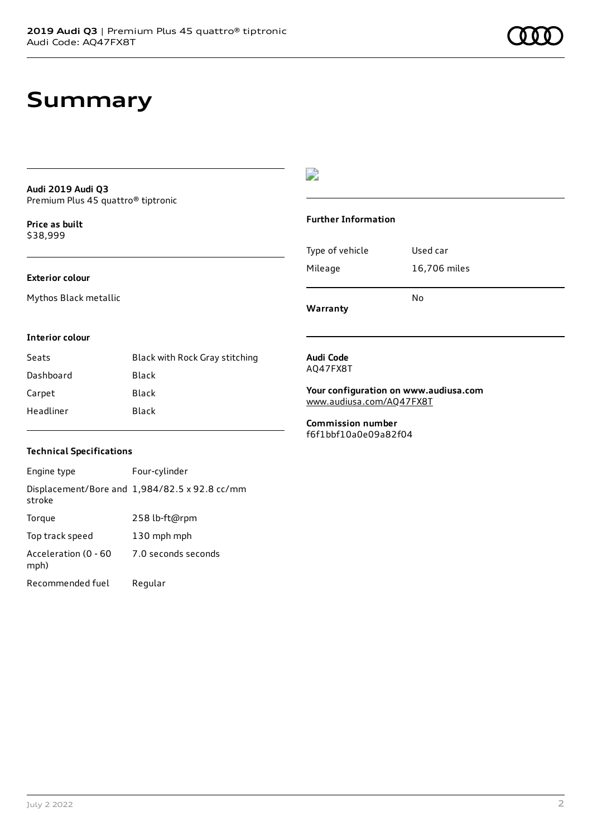#### **Audi 2019 Audi Q3** Premium Plus 45 quattro® tiptronic

**Price as buil[t](#page-8-0)** \$38,999

#### **Exterior colour**

Mythos Black metallic

### D

#### **Further Information**

|                 | N٥           |
|-----------------|--------------|
| Mileage         | 16,706 miles |
| Type of vehicle | Used car     |

**Warranty**

#### **Interior colour**

| Seats     | Black with Rock Gray stitching |
|-----------|--------------------------------|
| Dashboard | Black                          |
| Carpet    | Black                          |
| Headliner | Black                          |

#### **Audi Code** AQ47FX8T

**Your configuration on www.audiusa.com**

[www.audiusa.com/AQ47FX8T](https://www.audiusa.com/AQ47FX8T)

**Commission number** f6f1bbf10a0e09a82f04

#### **Technical Specifications**

Engine type Four-cylinder Displacement/Bore and 1,984/82.5 x 92.8 cc/mm stroke Torque 258 lb-ft@rpm Top track speed 130 mph mph Acceleration (0 - 60 mph) 7.0 seconds seconds Recommended fuel Regular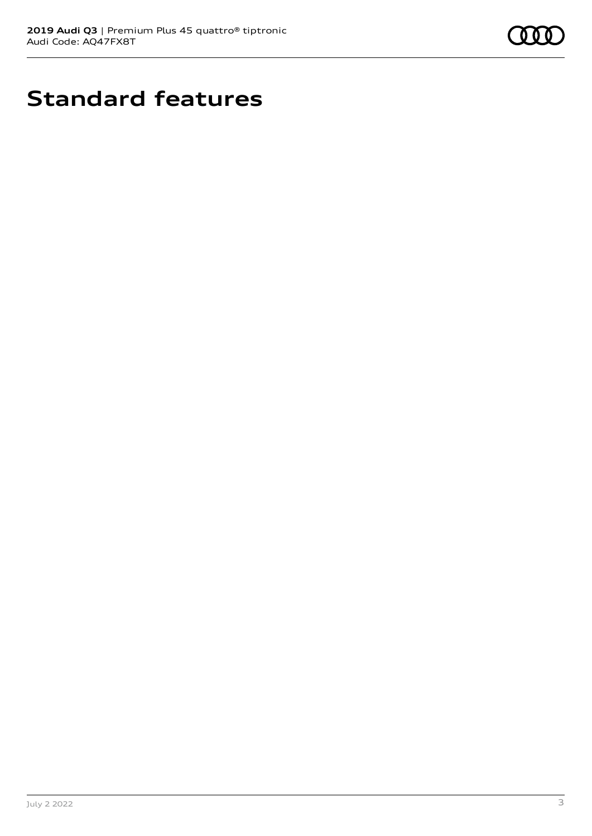

# **Standard features**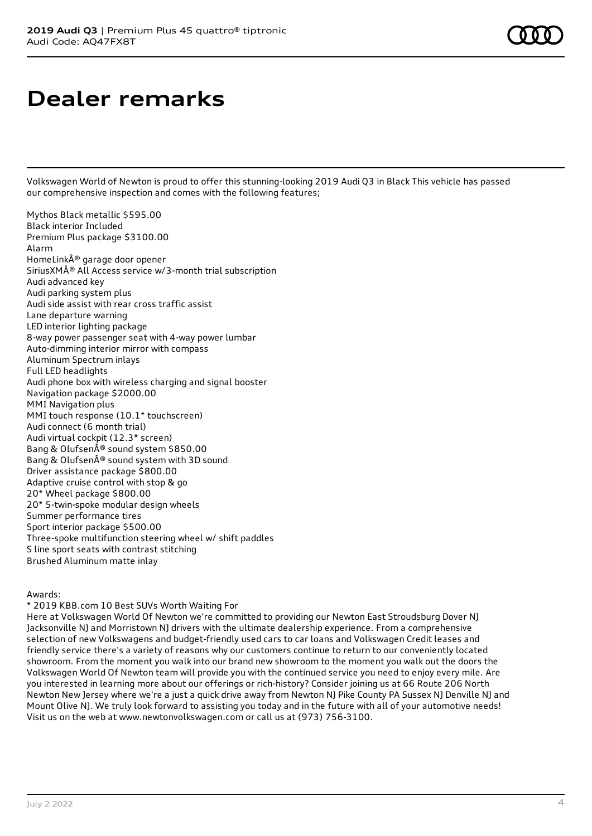# **Dealer remarks**

Volkswagen World of Newton is proud to offer this stunning-looking 2019 Audi Q3 in Black This vehicle has passed our comprehensive inspection and comes with the following features;

Mythos Black metallic \$595.00 Black interior Included Premium Plus package \$3100.00 Alarm HomeLink® garage door opener SiriusXM® All Access service w/3-month trial subscription Audi advanced key Audi parking system plus Audi side assist with rear cross traffic assist Lane departure warning LED interior lighting package 8-way power passenger seat with 4-way power lumbar Auto-dimming interior mirror with compass Aluminum Spectrum inlays Full LED headlights Audi phone box with wireless charging and signal booster Navigation package \$2000.00 MMI Navigation plus MMI touch response (10.1\* touchscreen) Audi connect (6 month trial) Audi virtual cockpit (12.3\* screen) Bang & Olufsen® sound system \$850.00 Bang & Olufsen® sound system with 3D sound Driver assistance package \$800.00 Adaptive cruise control with stop & go 20\* Wheel package \$800.00 20\* 5-twin-spoke modular design wheels Summer performance tires Sport interior package \$500.00 Three-spoke multifunction steering wheel w/ shift paddles S line sport seats with contrast stitching Brushed Aluminum matte inlay

#### Awards:

\* 2019 KBB.com 10 Best SUVs Worth Waiting For

Here at Volkswagen World Of Newton we're committed to providing our Newton East Stroudsburg Dover NJ Jacksonville NJ and Morristown NJ drivers with the ultimate dealership experience. From a comprehensive selection of new Volkswagens and budget-friendly used cars to car loans and Volkswagen Credit leases and friendly service there's a variety of reasons why our customers continue to return to our conveniently located showroom. From the moment you walk into our brand new showroom to the moment you walk out the doors the Volkswagen World Of Newton team will provide you with the continued service you need to enjoy every mile. Are you interested in learning more about our offerings or rich-history? Consider joining us at 66 Route 206 North Newton New Jersey where we're a just a quick drive away from Newton NJ Pike County PA Sussex NJ Denville NJ and Mount Olive NJ. We truly look forward to assisting you today and in the future with all of your automotive needs! Visit us on the web at www.newtonvolkswagen.com or call us at (973) 756-3100.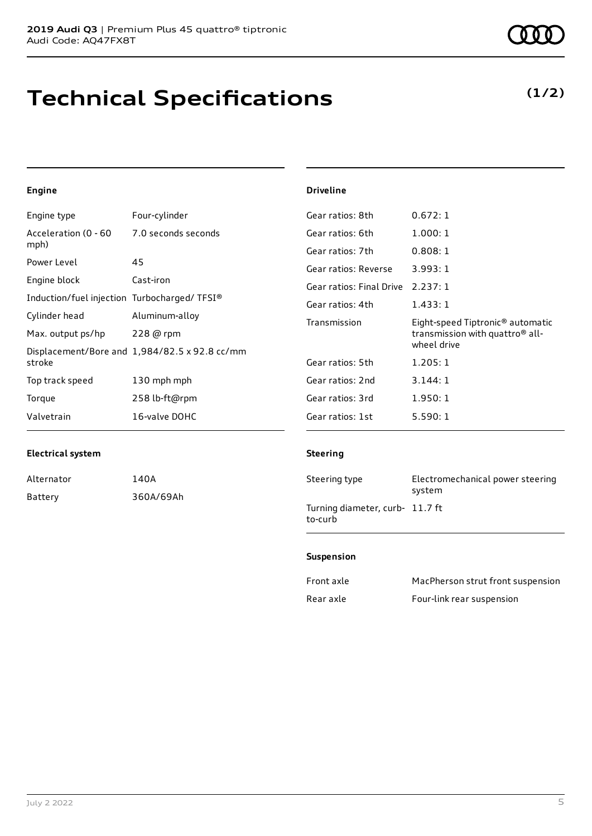## **Technical Specifications**

**(1/2)**

### **Engine**

| Engine type                                 | Four-cylinder                                 | Gear ratios: 8th         | 0.672:1                                      |
|---------------------------------------------|-----------------------------------------------|--------------------------|----------------------------------------------|
| Acceleration (0 - 60                        | 7.0 seconds seconds                           | Gear ratios: 6th         | 1.000:1                                      |
| mph)                                        |                                               | Gear ratios: 7th         | 0.808:1                                      |
| Power Level                                 | 45                                            | Gear ratios: Reverse     | 3.993:1                                      |
| Engine block                                | Cast-iron                                     | Gear ratios: Final Drive | 2.237:1                                      |
| Induction/fuel injection Turbocharged/TFSI® |                                               | Gear ratios: 4th         | 1.433:1                                      |
| Cylinder head                               | Aluminum-alloy                                | Transmission             | Eight-speed Tiptronic <sup>®</sup> automatic |
|                                             |                                               |                          | transmission with quattro <sup>®</sup> all-  |
| Max. output ps/hp                           | $228$ @ rpm                                   |                          |                                              |
|                                             |                                               |                          | wheel drive                                  |
| stroke                                      | Displacement/Bore and 1,984/82.5 x 92.8 cc/mm | Gear ratios: 5th         | 1.205:1                                      |
| Top track speed                             | 130 mph mph                                   | Gear ratios: 2nd         | 3.144:1                                      |
| Torque                                      | 258 lb-ft@rpm                                 | Gear ratios: 3rd         | 1.950:1                                      |

#### **Electrical system**

| Alternator | 140A      |
|------------|-----------|
| Battery    | 360A/69Ah |

#### **Steering**

**Driveline**

| Steering type                              | Electromechanical power steering<br>system |
|--------------------------------------------|--------------------------------------------|
| Turning diameter, curb- 11.7 ft<br>to-curb |                                            |

#### **Suspension**

| Front axle | MacPherson strut front suspension |
|------------|-----------------------------------|
| Rear axle  | Four-link rear suspension         |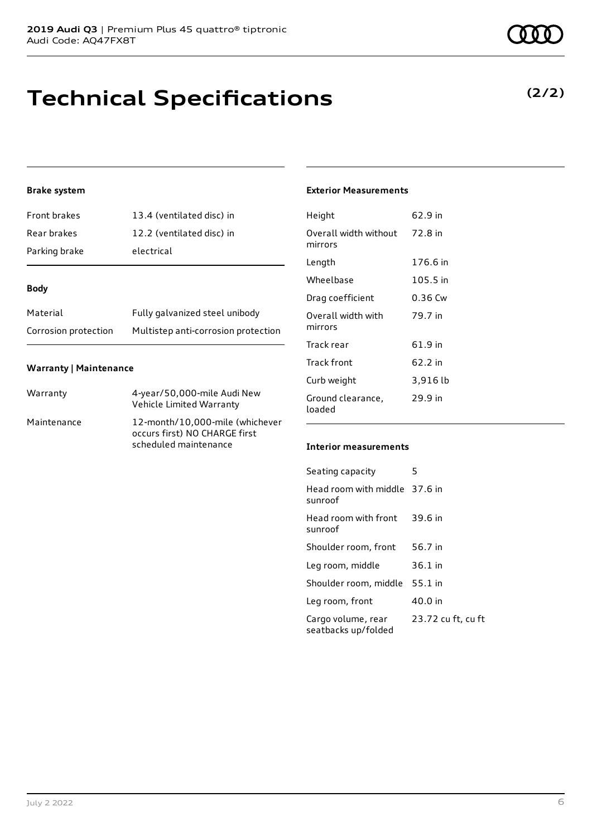## **Technical Specifications**

### **Brake system**

| Front brakes  | 13.4 (ventilated disc) in |
|---------------|---------------------------|
| Rear brakes   | 12.2 (ventilated disc) in |
| Parking brake | electrical                |

#### **Body**

| Material             | Fully galvanized steel unibody      |
|----------------------|-------------------------------------|
| Corrosion protection | Multistep anti-corrosion protection |

#### **Warranty | Maintenance**

| Warranty    | 4-year/50,000-mile Audi New<br>Vehicle Limited Warranty                                   |
|-------------|-------------------------------------------------------------------------------------------|
| Maintenance | 12-month/10,000-mile (whichever<br>occurs first) NO CHARGE first<br>scheduled maintenance |

### **Exterior Measurements**

| Height                           | 62.9 in  |
|----------------------------------|----------|
| Overall width without<br>mirrors | 72.8 in  |
| Length                           | 176.6 in |
| Wheelbase                        | 105.5 in |
| Drag coefficient                 | 0.36 Cw  |
| Overall width with<br>mirrors    | 79.7 in  |
| Track rear                       | 61.9 in  |
| Track front                      | 62.2 in  |
| Curb weight                      | 3,916 lb |
| Ground clearance,<br>loaded      | 29.9 in  |

#### **Interior measurements**

| Seating capacity                          | 5                  |
|-------------------------------------------|--------------------|
| Head room with middle 37.6 in<br>sunroof  |                    |
| Head room with front<br>sunroof           | 39.6 in            |
| Shoulder room, front                      | 56.7 in            |
| Leg room, middle                          | $36.1$ in          |
| Shoulder room, middle                     | 55.1 in            |
| Leg room, front                           | 40.0 in            |
| Cargo volume, rear<br>seatbacks up/folded | 23.72 cu ft, cu ft |



## **(2/2)**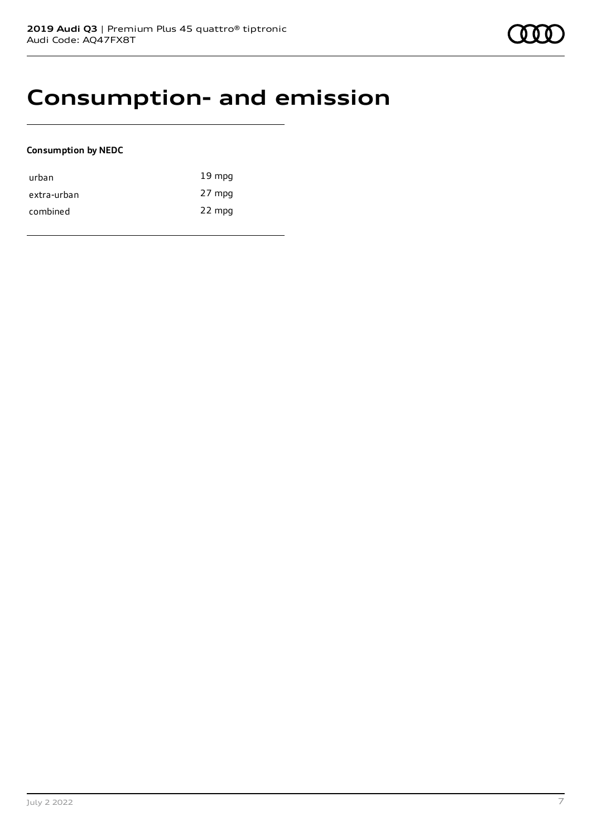## **Consumption- and emission**

#### **Consumption by NEDC**

| urban       | $19 \text{ mpg}$ |
|-------------|------------------|
| extra-urban | 27 mpg           |
| combined    | 22 mpg           |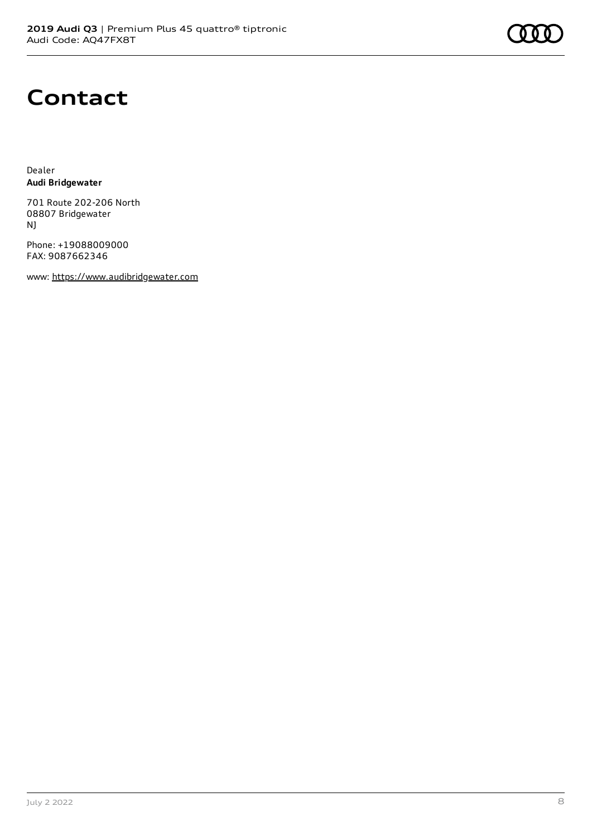# **Contact**

Dealer **Audi Bridgewater**

701 Route 202-206 North 08807 Bridgewater NJ

Phone: +19088009000 FAX: 9087662346

www: [https://www.audibridgewater.com](https://www.audibridgewater.com/)